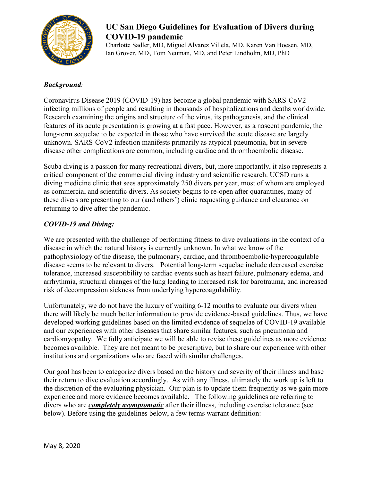

## **UC San Diego Guidelines for Evaluation of Divers during COVID-19 pandemic**

Charlotte Sadler, MD, Miguel Alvarez Villela, MD, Karen Van Hoesen, MD, Ian Grover, MD, , Tom Neuman, MD, and Peter Lindholm, MD, PhD

## *Background:*

Coronavirus Disease 2019 (COVID-19) has become a global pandemic with SARS-CoV2 infecting millions of people and resulting in thousands of hospitalizations and deaths worldwide. Research examining the origins and structure of the virus, its pathogenesis, and the clinical features of its acute presentation is growing at a fast pace. However, as a nascent pandemic, the long-term sequelae to be expected in those who have survived the acute disease are largely unknown. SARS-CoV2 infection manifests primarily as atypical pneumonia, but in severe disease other complications are common, including cardiac and thromboembolic disease.

Scuba diving is a passion for many recreational divers, but, more importantly, it also represents a critical component of the commercial diving industry and scientific research. UCSD runs a diving medicine clinic that sees approximately 250 divers per year, most of whom are employed as commercial and scientific divers. As society begins to re-open after quarantines, many of these divers are presenting to our (and others') clinic requesting guidance and clearance on returning to dive after the pandemic.

## *COVID-19 and Diving:*

We are presented with the challenge of performing fitness to dive evaluations in the context of a disease in which the natural history is currently unknown. In what we know of the pathophysiology of the disease, the pulmonary, cardiac, and thromboembolic/hypercoagulable disease seems to be relevant to divers. Potential long-term sequelae include decreased exercise tolerance, increased susceptibility to cardiac events such as heart failure, pulmonary edema, and arrhythmia, structural changes of the lung leading to increased risk for barotrauma, and increased risk of decompression sickness from underlying hypercoagulability.

Unfortunately, we do not have the luxury of waiting 6-12 months to evaluate our divers when there will likely be much better information to provide evidence-based guidelines. Thus, we have developed working guidelines based on the limited evidence of sequelae of COVID-19 available and our experiences with other diseases that share similar features, such as pneumonia and cardiomyopathy. We fully anticipate we will be able to revise these guidelines as more evidence becomes available. They are not meant to be prescriptive, but to share our experience with other institutions and organizations who are faced with similar challenges.

Our goal has been to categorize divers based on the history and severity of their illness and base their return to dive evaluation accordingly. As with any illness, ultimately the work up is left to the discretion of the evaluating physician. Our plan is to update them frequently as we gain more experience and more evidence becomes available. The following guidelines are referring to divers who are *completely asymptomatic* after their illness, including exercise tolerance (see below). Before using the guidelines below, a few terms warrant definition: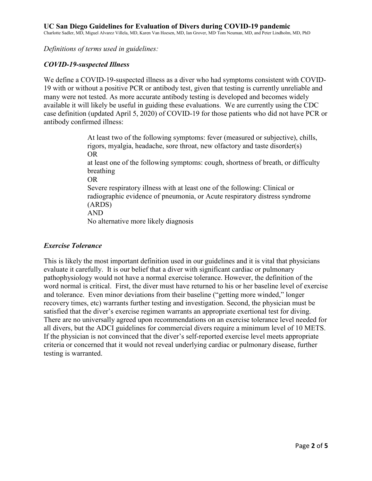*Definitions of terms used in guidelines:* 

#### *COVID-19-suspected Illness*

We define a COVID-19-suspected illness as a diver who had symptoms consistent with COVID-19 with or without a positive PCR or antibody test, given that testing is currently unreliable and many were not tested. As more accurate antibody testing is developed and becomes widely available it will likely be useful in guiding these evaluations. We are currently using the CDC case definition (updated April 5, 2020) of COVID-19 for those patients who did not have PCR or antibody confirmed illness:

> At least two of the following symptoms: fever (measured or subjective), chills, rigors, myalgia, headache, sore throat, new olfactory and taste disorder(s) OR at least one of the following symptoms: cough, shortness of breath, or difficulty breathing OR Severe respiratory illness with at least one of the following: Clinical or radiographic evidence of pneumonia, or Acute respiratory distress syndrome (ARDS) AND No alternative more likely diagnosis

#### *Exercise Tolerance*

This is likely the most important definition used in our guidelines and it is vital that physicians evaluate it carefully. It is our belief that a diver with significant cardiac or pulmonary pathophysiology would not have a normal exercise tolerance. However, the definition of the word normal is critical. First, the diver must have returned to his or her baseline level of exercise and tolerance. Even minor deviations from their baseline ("getting more winded," longer recovery times, etc) warrants further testing and investigation. Second, the physician must be satisfied that the diver's exercise regimen warrants an appropriate exertional test for diving. There are no universally agreed upon recommendations on an exercise tolerance level needed for all divers, but the ADCI guidelines for commercial divers require a minimum level of 10 METS. If the physician is not convinced that the diver's self-reported exercise level meets appropriate criteria or concerned that it would not reveal underlying cardiac or pulmonary disease, further testing is warranted.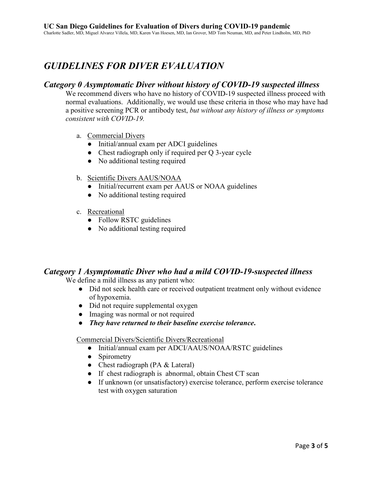# *GUIDELINES FOR DIVER EVALUATION*

## *Category 0 Asymptomatic Diver without history of COVID-19 suspected illness*

We recommend divers who have no history of COVID-19 suspected illness proceed with normal evaluations. Additionally, we would use these criteria in those who may have had a positive screening PCR or antibody test, *but without any history of illness or symptoms consistent with COVID-19.*

- a. Commercial Divers
	- Initial/annual exam per ADCI guidelines
	- Chest radiograph only if required per Q 3-year cycle
	- No additional testing required
- b. Scientific Divers AAUS/NOAA
	- Initial/recurrent exam per AAUS or NOAA guidelines
	- No additional testing required
- c. Recreational
	- Follow RSTC guidelines
	- No additional testing required

#### *Category 1 Asymptomatic Diver who had a mild COVID-19-suspected illness*

We define a mild illness as any patient who:

- Did not seek health care or received outpatient treatment only without evidence of hypoxemia.
- Did not require supplemental oxygen
- Imaging was normal or not required
- *They have returned to their baseline exercise tolerance***.**

#### Commercial Divers/Scientific Divers/Recreational

- Initial/annual exam per ADCI/AAUS/NOAA/RSTC guidelines
- Spirometry
- Chest radiograph (PA & Lateral)
- If chest radiograph is abnormal, obtain Chest CT scan
- If unknown (or unsatisfactory) exercise tolerance, perform exercise tolerance test with oxygen saturation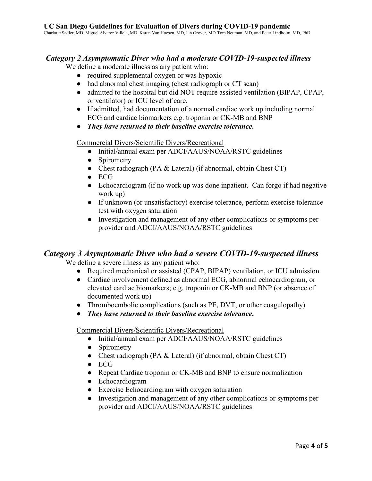Charlotte Sadler, MD, Miguel Alvarez Villela, MD, Karen Van Hoesen, MD, Ian Grover, MD, Tom Neuman, MD, and Peter Lindholm, MD, PhD

#### *Category 2 Asymptomatic Diver who had a moderate COVID-19-suspected illness*

We define a moderate illness as any patient who:

- required supplemental oxygen or was hypoxic
- had abnormal chest imaging (chest radiograph or CT scan)
- admitted to the hospital but did NOT require assisted ventilation (BIPAP, CPAP, or ventilator) or ICU level of care.
- If admitted, had documentation of a normal cardiac work up including normal ECG and cardiac biomarkers e.g. troponin or CK-MB and BNP
- *They have returned to their baseline exercise tolerance***.**

Commercial Divers/Scientific Divers/Recreational

- Initial/annual exam per ADCI/AAUS/NOAA/RSTC guidelines
- Spirometry
- Chest radiograph (PA & Lateral) (if abnormal, obtain Chest CT)
- ECG
- Echocardiogram (if no work up was done inpatient. Can forgo if had negative work up)
- If unknown (or unsatisfactory) exercise tolerance, perform exercise tolerance test with oxygen saturation
- Investigation and management of any other complications or symptoms per provider and ADCI/AAUS/NOAA/RSTC guidelines

#### *Category 3 Asymptomatic Diver who had a severe COVID-19-suspected illness*

We define a severe illness as any patient who:

- Required mechanical or assisted (CPAP, BIPAP) ventilation, or ICU admission
- Cardiac involvement defined as abnormal ECG, abnormal echocardiogram, or elevated cardiac biomarkers; e.g. troponin or CK-MB and BNP (or absence of documented work up)
- Thromboembolic complications (such as PE, DVT, or other coagulopathy)
- *They have returned to their baseline exercise tolerance***.**

Commercial Divers/Scientific Divers/Recreational

- Initial/annual exam per ADCI/AAUS/NOAA/RSTC guidelines
- Spirometry
- Chest radiograph (PA & Lateral) (if abnormal, obtain Chest CT)
- ECG
- Repeat Cardiac troponin or CK-MB and BNP to ensure normalization
- Echocardiogram
- Exercise Echocardiogram with oxygen saturation
- Investigation and management of any other complications or symptoms per provider and ADCI/AAUS/NOAA/RSTC guidelines